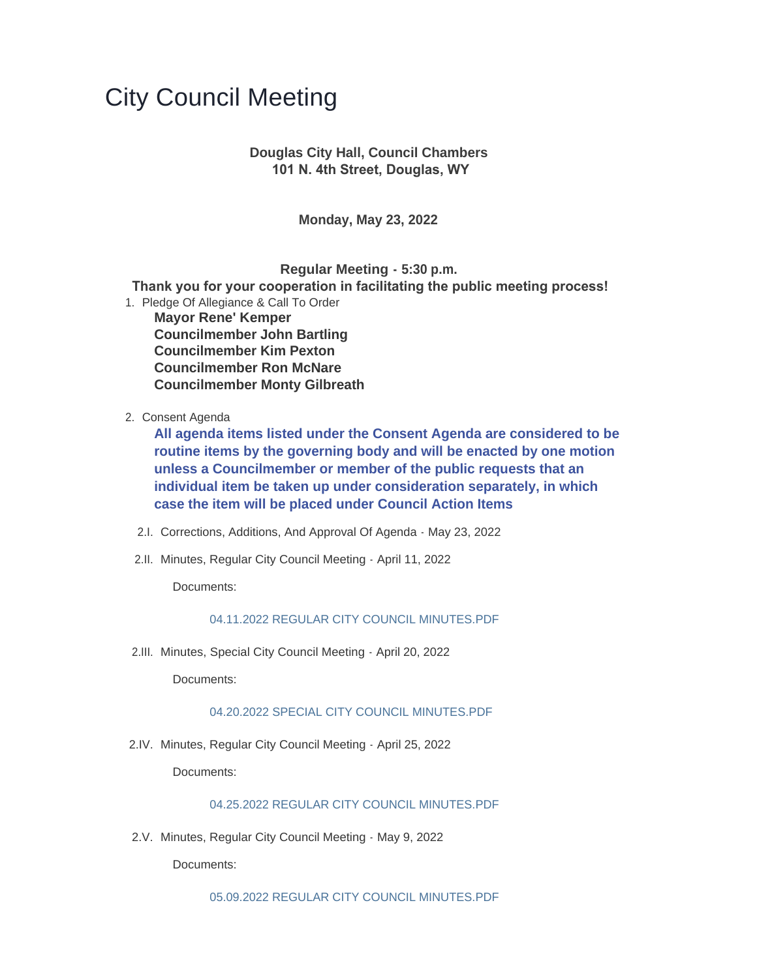# City Council Meeting

# **Douglas City Hall, Council Chambers 101 N. 4th Street, Douglas, WY**

**Monday, May 23, 2022**

**Regular Meeting - 5:30 p.m.**

 **Thank you for your cooperation in facilitating the public meeting process!**

- 1. Pledge Of Allegiance & Call To Order **Mayor Rene' Kemper Councilmember John Bartling Councilmember Kim Pexton Councilmember Ron McNare Councilmember Monty Gilbreath**
- 2. Consent Agenda

**All agenda items listed under the Consent Agenda are considered to be routine items by the governing body and will be enacted by one motion unless a Councilmember or member of the public requests that an individual item be taken up under consideration separately, in which case the item will be placed under Council Action Items**

- 2.I. Corrections, Additions, And Approval Of Agenda May 23, 2022
- 2.II. Minutes, Regular City Council Meeting April 11, 2022

Documents:

# [04.11.2022 REGULAR CITY COUNCIL MINUTES.PDF](https://www.cityofdouglas.org/AgendaCenter/ViewFile/Item/5088?fileID=4364)

2.III. Minutes, Special City Council Meeting - April 20, 2022

Documents:

# [04.20.2022 SPECIAL CITY COUNCIL MINUTES.PDF](https://www.cityofdouglas.org/AgendaCenter/ViewFile/Item/5091?fileID=4367)

2.IV. Minutes, Regular City Council Meeting - April 25, 2022

Documents:

# [04.25.2022 REGULAR CITY COUNCIL MINUTES.PDF](https://www.cityofdouglas.org/AgendaCenter/ViewFile/Item/5089?fileID=4365)

2.V. Minutes, Regular City Council Meeting - May 9, 2022

Documents: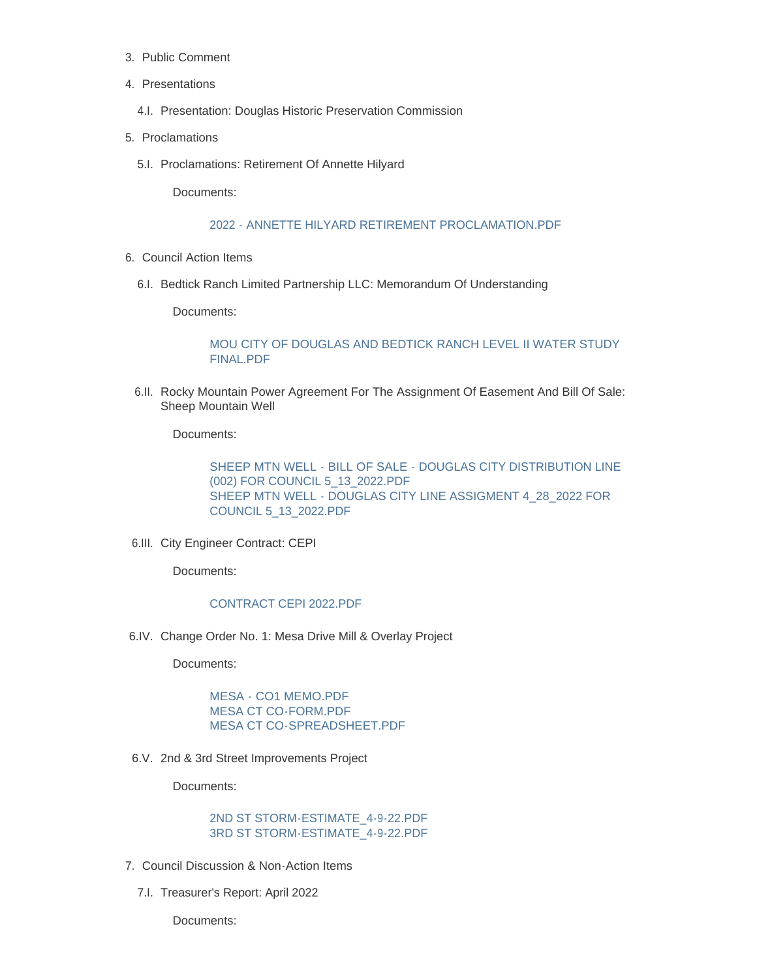- 3. Public Comment
- 4. Presentations
	- 4.I. Presentation: Douglas Historic Preservation Commission
- 5. Proclamations
	- 5.I. Proclamations: Retirement Of Annette Hilyard

Documents:

#### [2022 - ANNETTE HILYARD RETIREMENT PROCLAMATION.PDF](https://www.cityofdouglas.org/AgendaCenter/ViewFile/Item/5075?fileID=4347)

- 6. Council Action Items
	- 6.I. Bedtick Ranch Limited Partnership LLC: Memorandum Of Understanding

Documents:

[MOU CITY OF DOUGLAS AND BEDTICK RANCH LEVEL II WATER STUDY](https://www.cityofdouglas.org/AgendaCenter/ViewFile/Item/5077?fileID=4348)  FINAL.PDF

6.II. Rocky Mountain Power Agreement For The Assignment Of Easement And Bill Of Sale: Sheep Mountain Well

Documents:

[SHEEP MTN WELL - BILL OF SALE - DOUGLAS CITY DISTRIBUTION LINE](https://www.cityofdouglas.org/AgendaCenter/ViewFile/Item/5063?fileID=4336)  (002) FOR COUNCIL 5\_13\_2022.PDF [SHEEP MTN WELL - DOUGLAS CITY LINE ASSIGMENT 4\\_28\\_2022 FOR](https://www.cityofdouglas.org/AgendaCenter/ViewFile/Item/5063?fileID=4368)  COUNCIL 5\_13\_2022.PDF

6.III. City Engineer Contract: CEPI

Documents:

#### [CONTRACT CEPI 2022.PDF](https://www.cityofdouglas.org/AgendaCenter/ViewFile/Item/5064?fileID=4369)

6.IV. Change Order No. 1: Mesa Drive Mill & Overlay Project

Documents:

[MESA - CO1 MEMO.PDF](https://www.cityofdouglas.org/AgendaCenter/ViewFile/Item/5080?fileID=4353) [MESA CT CO-FORM.PDF](https://www.cityofdouglas.org/AgendaCenter/ViewFile/Item/5080?fileID=4354) [MESA CT CO-SPREADSHEET.PDF](https://www.cityofdouglas.org/AgendaCenter/ViewFile/Item/5080?fileID=4355)

6.V. 2nd & 3rd Street Improvements Project

Documents:

[2ND ST STORM-ESTIMATE\\_4-9-22.PDF](https://www.cityofdouglas.org/AgendaCenter/ViewFile/Item/5087?fileID=4360) [3RD ST STORM-ESTIMATE\\_4-9-22.PDF](https://www.cityofdouglas.org/AgendaCenter/ViewFile/Item/5087?fileID=4361)

- 7. Council Discussion & Non-Action Items
	- 7.I. Treasurer's Report: April 2022

Documents: